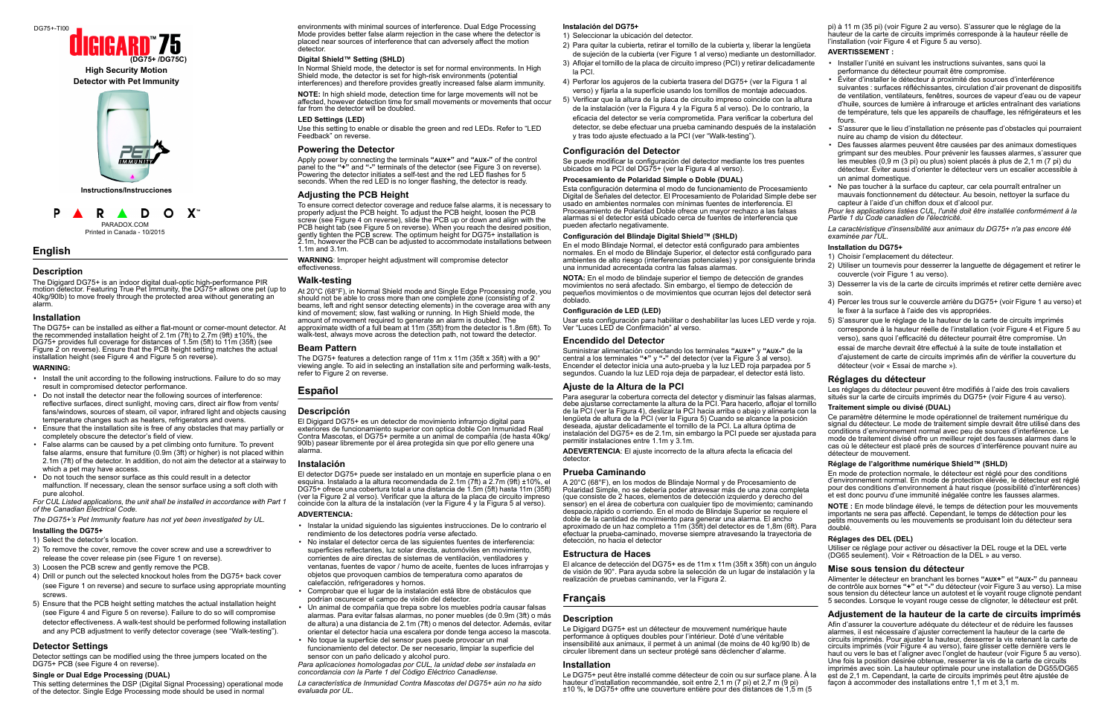## **English**

P

### **Description**

The Digigard DG75+ is an indoor digital dual-optic high-performance PIR motion detector. Featuring True Pet Immunity, the DG75+ allows one pet (up to 40kg/90lb) to move freely through the protected area without generating an alarm.

#### **Installation**

The DG75+ can be installed as either a flat-mount or corner-mount detector. At the recommended installation height of 2.1m (7ft) to 2.7m (9ft) ±10%, the DG75+ provides full coverage for distances of 1.5m (5ft) to 11m (35ft) (see [Figure 2](#page-1-1) on reverse). Ensure that the PCB height setting matches the actual installation height (see [Figure 4](#page-1-2) and [Figure 5](#page-1-3) on reverse).

#### **WARNING:**

- Install the unit according to the following instructions. Failure to do so may result in compromised detector performance.
- Do not install the detector near the following sources of interference: reflective surfaces, direct sunlight, moving cars, direct air flow from vents/ fans/windows, sources of steam, oil vapor, infrared light and objects causing temperature changes such as heaters, refrigerators and ovens.
- Ensure that the installation site is free of any obstacles that may partially or completely obscure the detector's field of view.
- False alarms can be caused by a pet climbing onto furniture. To prevent false alarms, ensure that furniture (0.9m (3ft) or higher) is not placed within 2.1m (7ft) of the detector. In addition, do not aim the detector at a stairway to which a pet may have access.
- Do not touch the sensor surface as this could result in a detector malfunction. If necessary, clean the sensor surface using a soft cloth with pure alcohol.

In Normal Shield mode, the detector is set for normal environments. In High Shield mode, the detector is set for high-risk environments (potential interferences) and therefore provides greatly increased false alarm immunity.

*For CUL Listed applications, the unit shall be installed in accordance with Part 1 of the Canadian Electrical Code.*

*The DG75+'s Pet Immunity feature has not yet been investigated by UL.* 

#### **Installing the DG75+**

- 1) Select the detector's location.
- 2) To remove the cover, remove the cover screw and use a screwdriver to release the cover release pin (see [Figure 1](#page-1-4) on reverse).
- 3) Loosen the PCB screw and gently remove the PCB.
- 4) Drill or punch out the selected knockout holes from the DG75+ back cover (see [Figure 1](#page-1-4) on reverse) and secure to surface using appropriate mounting screws.
- 5) Ensure that the PCB height setting matches the actual installation height (see [Figure 4](#page-1-2) and [Figure 5](#page-1-3) on reverse). Failure to do so will compromise detector effectiveness. A walk-test should be performed following installation and any PCB adjustment to verify detector coverage (see ["Walk-testing"\)](#page-0-0).

At 20°C (68°F), in Normal Shield mode and Single Edge Processing mode, you should not be able to cross more than one complete zone (consisting of 2 beams, left and right sensor detecting elements) in the coverage area with any kind of movement; slow, fast walking or running. In High Shield mode, the amount of movement required to generate an alarm is doubled. The approximate width of a full beam at 11m (35ft) from the detector is 1.8m (6ft). To walk-test, always move across the detection path, not toward the detector.

#### **Detector Settings**

Detector settings can be modified using the three jumpers located on the DG75+ PCB (see [Figure 4](#page-1-2) on reverse).

#### **Single or Dual Edge Processing (DUAL)**

This setting determines the DSP (Digital Signal Processing) operational mode of the detector. Single Edge Processing mode should be used in normal

environments with minimal sources of interference. Dual Edge Processing Mode provides better false alarm rejection in the case where the detector is placed near sources of interference that can adversely affect the motion detector.

#### **Digital Shield™ Setting (SHLD)**

**NOTE:** In high shield mode, detection time for large movements will not be affected, however detection time for small movements or movements that occur far from the detector will be doubled.

#### **LED Settings (LED)**

Use this setting to enable or disable the green and red LEDs. Refer to "LED Feedback" on reverse.

#### **Powering the Detector**

Apply power by connecting the terminals **"AUX+"** and **"AUX-"** of the control panel to the **"+"** and **"-"** terminals of the detector (see [Figure 3](#page-1-0) on reverse). Powering the detector initiates a self-test and the red LED flashes for 5 seconds. When the red LED is no longer flashing, the detector is ready.

#### **Adjusting the PCB Height**

To ensure correct detector coverage and reduce false alarms, it is necessary to properly adjust the PCB height. To adjust the PCB height, loosen the PCB screw (see [Figure 4](#page-1-2) on reverse), slide the PCB up or down and align with the PCB height tab (see [Figure 5](#page-1-3) on reverse). When you reach the desired position, gently tighten the PCB screw. The optimum height for DG75+ installation is 2.1m, however the PCB can be adjusted to accommodate installations between 1.1m and 3.1m.

**WARNING**: Improper height adjustment will compromise detector effectiveness.

#### <span id="page-0-0"></span>**Walk-testing**

#### **Beam Pattern**

The DG75+ features a detection range of 11m x 11m (35ft x 35ft) with a 90° viewing angle. To aid in selecting an installation site and performing walk-tests, refer to [Figure 2](#page-1-1) on reverse.

## **Español**

### **Descripción**

El Digigard DG75+ es un detector de movimiento infrarrojo digital para exteriores de funcionamiento superior con optica doble Con Inmunidad Real Contra Mascotas, el DG75+ permite a un animal de compañía (de hasta 40kg/ 90lb) pasear libremente por el área protegida sin que por ello genere una alarma.

#### **Instalación**

El detector DG75+ puede ser instalado en un montaje en superficie plana o en esquina. Instalado a la altura recomendada de 2.1m (7ft) a 2.7m (9ft) ±10%, el DG75+ ofrece una cobertura total a una distancia de 1.5m (5ft) hasta 11m (35ft) (ver la [Figure 2](#page-1-1) al verso). Verificar que la altura de la placa de circuito impreso coincide con la altura de la instalación (ver la [Figure 4](#page-1-2) y la [Figura 5](#page-1-3) al verso).

#### **ADVERTENCIA:**

- Instalar la unidad siguiendo las siguientes instrucciones. De lo contrario el rendimiento de los detectores podría verse afectado.
- No instalar el detector cerca de las siguientes fuentes de interferencia: superficies reflectantes, luz solar directa, automóviles en movimiento, corrientes de aire directas de sistemas de ventilación, ventiladores y ventanas, fuentes de vapor / humo de aceite, fuentes de luces infrarrojas y objetos que provoquen cambios de temperatura como aparatos de calefacción, refrigeradores y hornos.
- Comprobar que el lugar de la instalación está libre de obstáculos que podrían oscurecer el campo de visión del detector.
- Un animal de compañía que trepa sobre los muebles podría causar falsas alarmas. Para evitar falsas alarmas, no poner muebles (de 0.9m (3ft) o más de altura) a una distancia de 2.1m (7ft) o menos del detector. Además, evitar orientar el detector hacia una escalera por donde tenga acceso la mascota.
- No toque la superficie del sensor pues puede provocar un mal funcionamiento del detector. De ser necesario, limpiar la superficie del sensor con un paño delicado y alcohol puro.

*Para aplicaciones homologadas por CUL, la unidad debe ser instalada en concordancia con la Parte 1 del Código Eléctrico Canadiense.*

*La característica de Inmunidad Contra Mascotas del DG75+ aún no ha sido evaluada por UL.* 

#### **Instalación del DG75+**

Ce paramètre détermine le mode opérationnel de traitement numérique du signal du détecteur. Le mode de traitement simple devrait être utilisé dans des conditions d'environnement normal avec peu de sources d'interférence. Le mode de traitement divisé offre un meilleur rejet des fausses alarmes dans le cas où le détecteur est placé près de sources d'interférence pouvant nuire au détecteur de mouvement.

- 1) Seleccionar la ubicación del detector.
- 2) Para quitar la cubierta, retirar el tornillo de la cubierta y, liberar la lengüeta de sujeción de la cubierta (ver [Figure 1](#page-1-4) al verso) mediante un destornillador.
- 3) Aflojar el tornillo de la placa de circuito impreso (PCI) y retirar delicadamente la PCI.
- 4) Perforar los agujeros de la cubierta trasera del DG75+ (ver la [Figura 1](#page-1-4) al verso) y fijarla a la superficie usando los tornillos de montaje adecuados.
- 5) Verificar que la altura de la placa de circuito impreso coincide con la altura de la instalación (ver la [Figura 4](#page-1-2) y la [Figura 5](#page-1-3) al verso). De lo contrario, la eficacia del detector se vería comprometida. Para verificar la cobertura del detector, se debe efectuar una prueba caminando después de la instalación y tras todo ajuste efectuado a la PCI (ver ["Walk-testing"](#page-0-0)).

#### **Configuración del Detector**

Se puede modificar la configuración del detector mediante los tres puentes ubicados en la PCI del DG75+ (ver la [Figura 4](#page-1-2) al verso).

#### **Procesamiento de Polaridad Simple o Doble (DUAL)**

Esta configuración determina el modo de funcionamiento de Procesamiento Digital de Señales del detector. El Procesamiento de Polaridad Simple debe ser usado en ambientes normales con mínimas fuentes de interferencia. El Procesamiento de Polaridad Doble ofrece un mayor rechazo a las falsas alarmas si el detector está ubicado cerca de fuentes de interferencia que pueden afectarlo negativamente.

#### **Configuración del Blindaje Digital Shield™ (SHLD)**

En el modo Blindaje Normal, el detector está configurado para ambientes normales. En el modo de Blindaje Superior, el detector está configurado para ambientes de alto riesgo (interferencias potenciales) y por consiguiente brinda una inmunidad acrecentada contra las falsas alarmas.

**NOTA:** En el modo de blindaje superior el tiempo de detección de grandes movimientos no será afectado. Sin embargo, el tiempo de detección de pequeños movimientos o de movimientos que ocurran lejos del detector será doblado.

#### **Configuración de LED (LED)**

Usar esta configuración para habilitar o deshabilitar las luces LED verde y roja. Ver "Luces LED de Confirmación" al verso.

#### **Encendido del Detector**

Suministrar alimentación conectando los terminales **"AUX+"** y **"AUX-"** de la central a los terminales **"+"** y **"-"** del detector (ver la [Figure 3](#page-1-0) al verso). Encender el detector inicia una auto-prueba y la luz LED roja parpadea por 5 segundos. Cuando la luz LED roja deja de parpadear, el detector está listo.

#### **Ajuste de la Altura de la PCI**

Para asegurar la cobertura correcta del detector y disminuir las falsas alarmas, debe ajustarse correctamente la altura de la PCI. Para hacerlo, aflojar el tornillo de la PCI (ver la [Figura 4\)](#page-1-2), deslizar la PCI hacia arriba o abajo y alinearla con la lengüeta de altura de la PCI (ver la [Figura 5](#page-1-3)) Cuando se alcance la posición deseada, ajustar delicadamente el tornillo de la PCI. La altura óptima de instalación del DG75+ es de 2.1m, sin embargo la PCI puede ser ajustada para permitir instalaciones entre 1.1m y 3.1m.

**ADEVERTENCIA**: El ajuste incorrecto de la altura afecta la eficacia del detector.

#### **Prueba Caminando**

#### **Estructura de Haces**

El alcance de detección del DG75+ es de 11m x 11m (35ft x 35ft) con un ángulo de visión de 90°. Para ayuda sobre la selección de un lugar de instalación y la realización de pruebas caminando, ver la [Figura 2.](#page-1-1)

### **Français**

#### **Description**

Le Digigard DG75+ est un détecteur de mouvement numérique haute performance à optiques doubles pour l'intérieur. Doté d'une véritable insensibilité aux animaux, il permet à un animal (de moins de 40 kg/90 lb) de circuler librement dans un secteur protégé sans déclencher d'alarme.

#### **Installation**

Le DG75+ peut être installé comme détecteur de coin ou sur surface plane. À la hauteur d'installation recommandée, soit entre 2,1 m (7 pi) et 2,7 m (9 pi) ±10 %, le DG75+ offre une couverture entière pour des distances de 1,5 m (5

pi) à 11 m (35 pi) (voir Figure 2 au verso). S'assurer que le réglage de la hauteur de la carte de circuits imprimés corresponde à la hauteur réelle de l'installation (voir Figure 4 et Figure 5 au verso).

#### **AVERTISSEMENT :**

- Installer l'unité en suivant les instructions suivantes, sans quoi la performance du détecteur pourrait être compromise.
- Éviter d'installer le détecteur à proximité des sources d'interférence suivantes : surfaces réfléchissantes, circulation d'air provenant de dispositifs de ventilation, ventilateurs, fenêtres, sources de vapeur d'eau ou de vapeur d'huile, sources de lumière à infrarouge et articles entraînant des variations de température, tels que les appareils de chauffage, les réfrigérateurs et les fours.
- S'assurer que le lieu d'installation ne présente pas d'obstacles qui pourraient nuire au champ de vision du détecteur.
- Des fausses alarmes peuvent être causées par des animaux domestiques grimpant sur des meubles. Pour prévenir les fausses alarmes, s'assurer que les meubles (0,9 m (3 pi) ou plus) soient placés à plus de 2,1 m (7 pi) du détecteur. Éviter aussi d'orienter le détecteur vers un escalier accessible à un animal domestique.
- Ne pas toucher à la surface du capteur, car cela pourraît entraîner un mauvais fonctionnement du détecteur. Au besoin, nettoyer la surface du capteur à l'aide d'un chiffon doux et d'alcool pur.

A 20°C (68°F), en los modos de Blindaje Normal y de Procesamiento de Polaridad Simple, no se debería poder atravesar más de una zona completa (que consiste de 2 haces, elementos de detección izquierdo y derecho del sensor) en el área de cobertura con cualquier tipo de movimiento; caminando despacio,rápido o corriendo. En el modo de Blindaje Superior se requiere el doble de la cantidad de movimiento para generar una alarma. El ancho aproximado de un haz completo a 11m (35ft) del detector es de 1,8m (6ft). Para efectuar la prueba-caminado, moverse siempre atravesando la trayectoria de detección, no hacia el detector et est donc pourvu d'une immunité inégalée contre les fausses alarmes. **NOTE :** En mode blindage élevé, le temps de détection pour les mouvements importants ne sera pas affecté. Cependant, le temps de détection pour les petits mouvements ou les mouvements se produisant loin du détecteur sera doublé. **Réglages des DEL (DEL)**

*Pour les applications listées CUL, l'unité doit être installée conformément à la Partie 1 du Code canadien de l'électricité.*

*La caractéristique d'insensibilité aux animaux du DG75+ n'a pas encore été examinée par l'UL.*

#### **Installation du DG75+**

- 1) Choisir l'emplacement du détecteur.
- 2) Utiliser un tournevis pour desserrer la languette de dégagement et retirer le couvercle (voir Figure 1 au verso).
- 3) Desserrer la vis de la carte de circuits imprimés et retirer cette dernière avec soin.
- 4) Percer les trous sur le couvercle arrière du DG75+ (voir Figure 1 au verso) et le fixer à la surface à l'aide des vis appropriées.
- 5) S'assurer que le réglage de la hauteur de la carte de circuits imprimés corresponde à la hauteur réelle de l'installation (voir Figure 4 et Figure 5 au verso), sans quoi l'efficacité du détecteur pourrait être compromise. Un essai de marche devrait être effectué à la suite de toute installation et d'ajustement de carte de circuits imprimés afin de vérifier la couverture du détecteur (voir « Essai de marche »).

#### **Réglages du détecteur**

Les réglages du détecteur peuvent être modifiés à l'aide des trois cavaliers situés sur la carte de circuits imprimés du DG75+ (voir Figure 4 au verso).

#### **Traitement simple ou divisé (DUAL)**

#### **Réglage de l'algorithme numérique Shield™ (SHLD)**

En mode de protection normale, le détecteur est réglé pour des conditions d'environnement normal. En mode de protection élevée, le détecteur est réglé pour des conditions d'environnement à haut risque (possibilité d'interférences)

Utiliser ce réglage pour activer ou désactiver la DEL rouge et la DEL verte (DG65 seulement). Voir « Rétroaction de la DEL » au verso.

#### **Mise sous tension du détecteur**

Alimenter le détecteur en branchant les bornes **"AUX+"** et **"AUX-"** du panneau de contrôle aux bornes **"+"** et **"-"** du détecteur (voir Figure 3 au verso). La mise sous tension du détecteur lance un autotest et le voyant rouge clignote pendant 5 secondes. Lorsque le voyant rouge cesse de clignoter, le détecteur est prêt.

#### **Adjustement de la hauteur de la carte de circuits imprimés**

Afin d'assurer la couverture adéquate du détecteur et de réduire les fausses alarmes, il est nécessaire d'ajuster correctement la hauteur de la carte de circuits imprimés. Pour ajuster la hauteur, desserrer la vis retenant la carte de circuits imprimés (voir Figure 4 au verso), faire glisser cette dernière vers le haut ou vers le bas et l'aligner avec l'onglet de hauteur (voir Figure 5 au verso). Une fois la position désirée obtenue, resserrer la vis de la carte de circuits imprimés avec soin. La hauteur optimale pour une installation de DG55/DG65 est de 2,1 m. Cependant, la carte de circuits imprimés peut être ajustée de façon à accommoder des installations entre 1,1 m et 3,1 m.



**Detector with Pet Immunity**

# **(DG75+) High Security Motion (DG75+ /DG75C)** DG75+-TI00

PARADOX.COM Printed in Canada - 10/2015